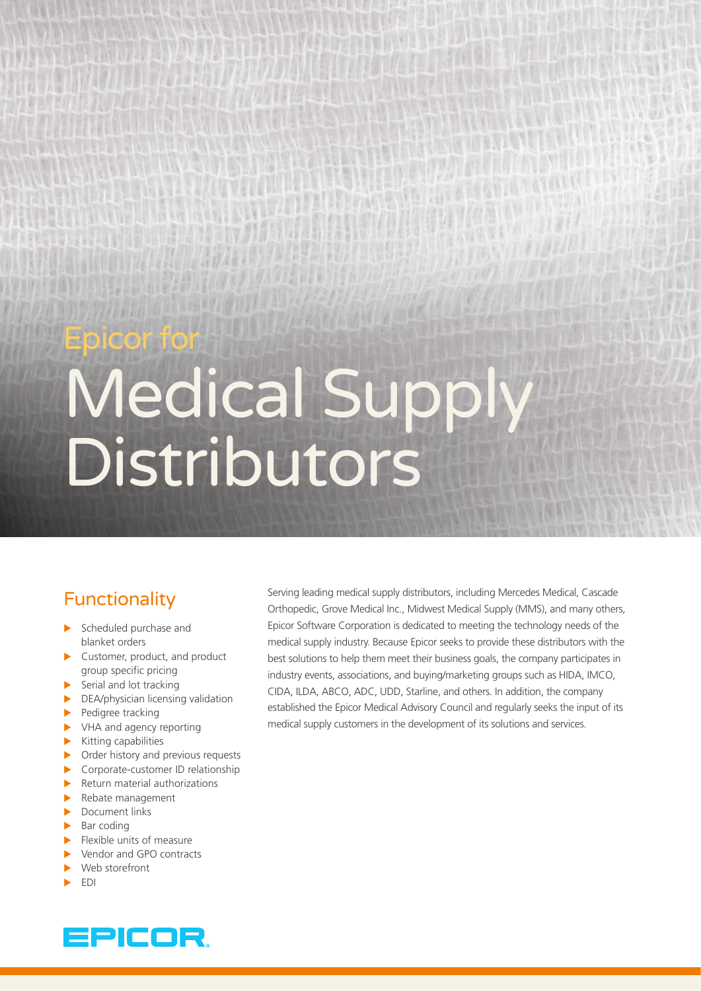# Epicor for

# Medical Supply Distributors

# Functionality

- Scheduled purchase and blanket orders
- $\blacktriangleright$  Customer, product, and product group specific pricing
- $\blacktriangleright$  Serial and lot tracking
- $\triangleright$  DEA/physician licensing validation
- $\blacktriangleright$  Pedigree tracking
- $\blacktriangleright$  VHA and agency reporting
- $\blacktriangleright$  Kitting capabilities
- $\triangleright$  Order history and previous requests
- $\triangleright$  Corporate-customer ID relationship
- $\blacktriangleright$  Return material authorizations
- $\blacktriangleright$  Rebate management
- $\blacktriangleright$  Document links
- Bar coding
- Flexible units of measure
- Vendor and GPO contracts
- Web storefront
- X EDI

Serving leading medical supply distributors, including Mercedes Medical, Cascade Orthopedic, Grove Medical Inc., Midwest Medical Supply (MMS), and many others, Epicor Software Corporation is dedicated to meeting the technology needs of the medical supply industry. Because Epicor seeks to provide these distributors with the best solutions to help them meet their business goals, the company participates in industry events, associations, and buying/marketing groups such as HIDA, IMCO, CIDA, ILDA, ABCO, ADC, UDD, Starline, and others. In addition, the company established the Epicor Medical Advisory Council and regularly seeks the input of its medical supply customers in the development of its solutions and services.

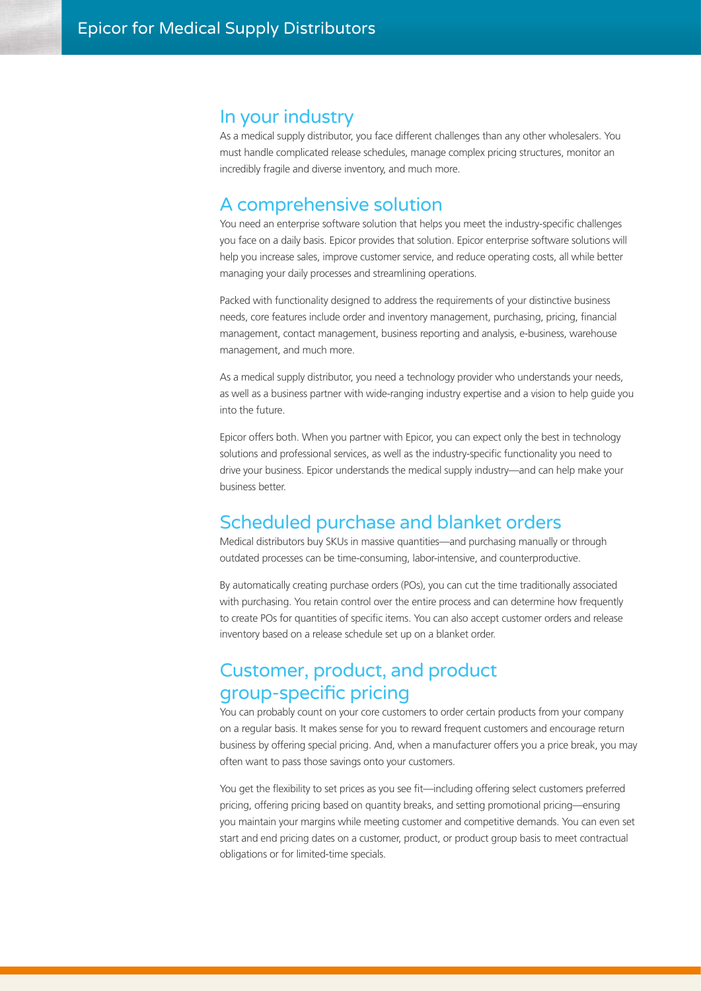#### In your industry

As a medical supply distributor, you face different challenges than any other wholesalers. You must handle complicated release schedules, manage complex pricing structures, monitor an incredibly fragile and diverse inventory, and much more.

#### A comprehensive solution

You need an enterprise software solution that helps you meet the industry-specific challenges you face on a daily basis. Epicor provides that solution. Epicor enterprise software solutions will help you increase sales, improve customer service, and reduce operating costs, all while better managing your daily processes and streamlining operations.

Packed with functionality designed to address the requirements of your distinctive business needs, core features include order and inventory management, purchasing, pricing, financial management, contact management, business reporting and analysis, e-business, warehouse management, and much more.

As a medical supply distributor, you need a technology provider who understands your needs, as well as a business partner with wide-ranging industry expertise and a vision to help guide you into the future.

Epicor offers both. When you partner with Epicor, you can expect only the best in technology solutions and professional services, as well as the industry-specific functionality you need to drive your business. Epicor understands the medical supply industry—and can help make your business better.

#### Scheduled purchase and blanket orders

Medical distributors buy SKUs in massive quantities—and purchasing manually or through outdated processes can be time-consuming, labor-intensive, and counterproductive.

By automatically creating purchase orders (POs), you can cut the time traditionally associated with purchasing. You retain control over the entire process and can determine how frequently to create POs for quantities of specific items. You can also accept customer orders and release inventory based on a release schedule set up on a blanket order.

### Customer, product, and product group-specific pricing

You can probably count on your core customers to order certain products from your company on a regular basis. It makes sense for you to reward frequent customers and encourage return business by offering special pricing. And, when a manufacturer offers you a price break, you may often want to pass those savings onto your customers.

You get the flexibility to set prices as you see fit—including offering select customers preferred pricing, offering pricing based on quantity breaks, and setting promotional pricing—ensuring you maintain your margins while meeting customer and competitive demands. You can even set start and end pricing dates on a customer, product, or product group basis to meet contractual obligations or for limited-time specials.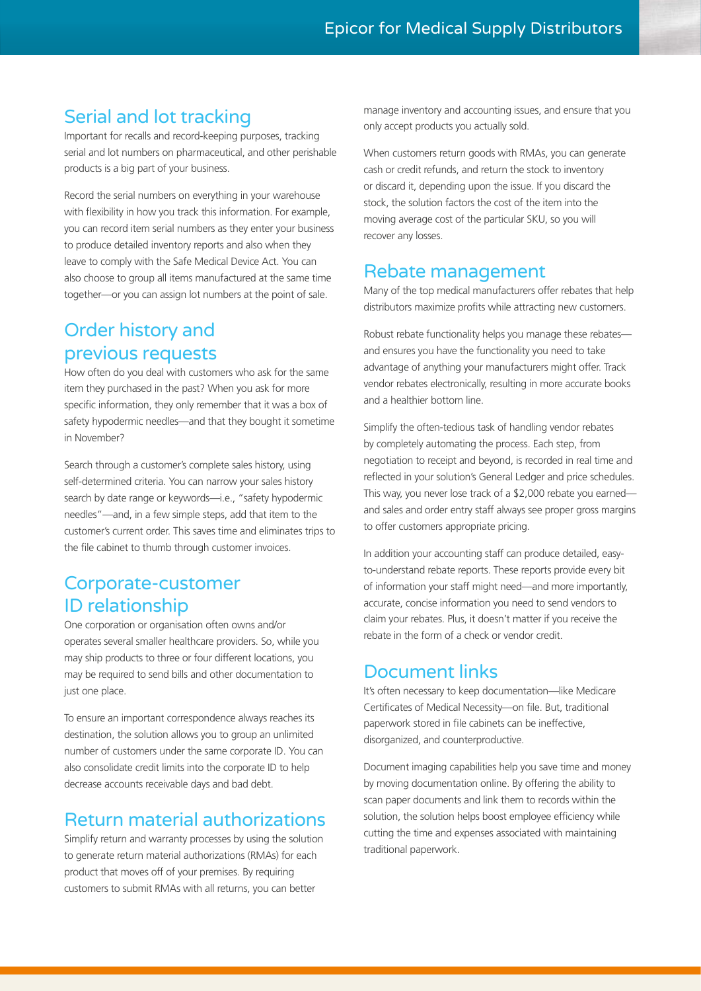# Serial and lot tracking

Important for recalls and record-keeping purposes, tracking serial and lot numbers on pharmaceutical, and other perishable products is a big part of your business.

Record the serial numbers on everything in your warehouse with flexibility in how you track this information. For example, you can record item serial numbers as they enter your business to produce detailed inventory reports and also when they leave to comply with the Safe Medical Device Act. You can also choose to group all items manufactured at the same time together—or you can assign lot numbers at the point of sale.

## Order history and previous requests

How often do you deal with customers who ask for the same item they purchased in the past? When you ask for more specific information, they only remember that it was a box of safety hypodermic needles—and that they bought it sometime in November?

Search through a customer's complete sales history, using self-determined criteria. You can narrow your sales history search by date range or keywords—i.e., "safety hypodermic needles"—and, in a few simple steps, add that item to the customer's current order. This saves time and eliminates trips to the file cabinet to thumb through customer invoices.

#### Corporate-customer ID relationship

One corporation or organisation often owns and/or operates several smaller healthcare providers. So, while you may ship products to three or four different locations, you may be required to send bills and other documentation to just one place.

To ensure an important correspondence always reaches its destination, the solution allows you to group an unlimited number of customers under the same corporate ID. You can also consolidate credit limits into the corporate ID to help decrease accounts receivable days and bad debt.

#### Return material authorizations

Simplify return and warranty processes by using the solution to generate return material authorizations (RMAs) for each product that moves off of your premises. By requiring customers to submit RMAs with all returns, you can better

manage inventory and accounting issues, and ensure that you only accept products you actually sold.

When customers return goods with RMAs, you can generate cash or credit refunds, and return the stock to inventory or discard it, depending upon the issue. If you discard the stock, the solution factors the cost of the item into the moving average cost of the particular SKU, so you will recover any losses.

#### Rebate management

Many of the top medical manufacturers offer rebates that help distributors maximize profits while attracting new customers.

Robust rebate functionality helps you manage these rebates and ensures you have the functionality you need to take advantage of anything your manufacturers might offer. Track vendor rebates electronically, resulting in more accurate books and a healthier bottom line.

Simplify the often-tedious task of handling vendor rebates by completely automating the process. Each step, from negotiation to receipt and beyond, is recorded in real time and reflected in your solution's General Ledger and price schedules. This way, you never lose track of a \$2,000 rebate you earned and sales and order entry staff always see proper gross margins to offer customers appropriate pricing.

In addition your accounting staff can produce detailed, easyto-understand rebate reports. These reports provide every bit of information your staff might need—and more importantly, accurate, concise information you need to send vendors to claim your rebates. Plus, it doesn't matter if you receive the rebate in the form of a check or vendor credit.

#### Document links

It's often necessary to keep documentation—like Medicare Certificates of Medical Necessity—on file. But, traditional paperwork stored in file cabinets can be ineffective, disorganized, and counterproductive.

Document imaging capabilities help you save time and money by moving documentation online. By offering the ability to scan paper documents and link them to records within the solution, the solution helps boost employee efficiency while cutting the time and expenses associated with maintaining traditional paperwork.